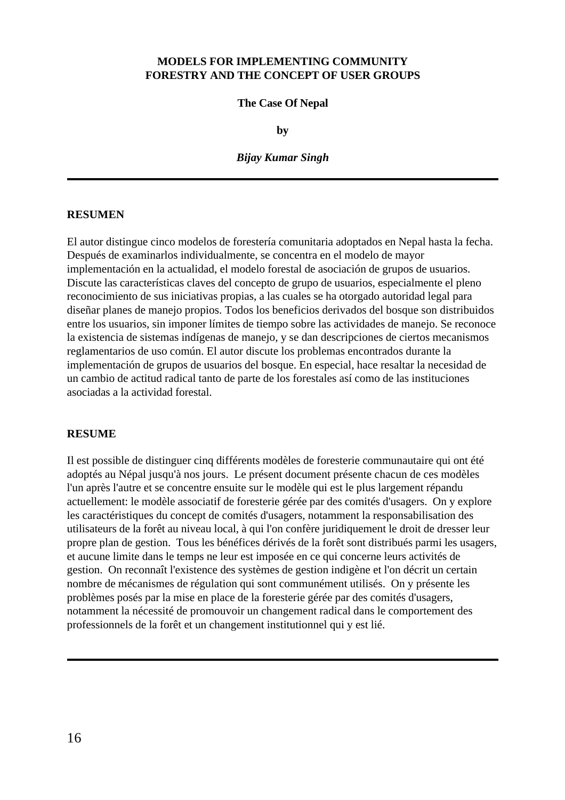## **MODELS FOR IMPLEMENTING COMMUNITY FORESTRY AND THE CONCEPT OF USER GROUPS**

#### **The Case Of Nepal**

**by**

#### *Bijay Kumar Singh*

#### **RESUMEN**

El autor distingue cinco modelos de forestería comunitaria adoptados en Nepal hasta la fecha. Después de examinarlos individualmente, se concentra en el modelo de mayor implementación en la actualidad, el modelo forestal de asociación de grupos de usuarios. Discute las características claves del concepto de grupo de usuarios, especialmente el pleno reconocimiento de sus iniciativas propias, a las cuales se ha otorgado autoridad legal para diseñar planes de manejo propios. Todos los beneficios derivados del bosque son distribuidos entre los usuarios, sin imponer límites de tiempo sobre las actividades de manejo. Se reconoce la existencia de sistemas indígenas de manejo, y se dan descripciones de ciertos mecanismos reglamentarios de uso común. El autor discute los problemas encontrados durante la implementación de grupos de usuarios del bosque. En especial, hace resaltar la necesidad de un cambio de actitud radical tanto de parte de los forestales así como de las instituciones asociadas a la actividad forestal.

#### **RESUME**

Il est possible de distinguer cinq différents modèles de foresterie communautaire qui ont été adoptés au Népal jusqu'à nos jours. Le présent document présente chacun de ces modèles l'un après l'autre et se concentre ensuite sur le modèle qui est le plus largement répandu actuellement: le modèle associatif de foresterie gérée par des comités d'usagers. On y explore les caractéristiques du concept de comités d'usagers, notamment la responsabilisation des utilisateurs de la forêt au niveau local, à qui l'on confère juridiquement le droit de dresser leur propre plan de gestion. Tous les bénéfices dérivés de la forêt sont distribués parmi les usagers, et aucune limite dans le temps ne leur est imposée en ce qui concerne leurs activités de gestion. On reconnaît l'existence des systèmes de gestion indigène et l'on décrit un certain nombre de mécanismes de régulation qui sont communément utilisés. On y présente les problèmes posés par la mise en place de la foresterie gérée par des comités d'usagers, notamment la nécessité de promouvoir un changement radical dans le comportement des professionnels de la forêt et un changement institutionnel qui y est lié.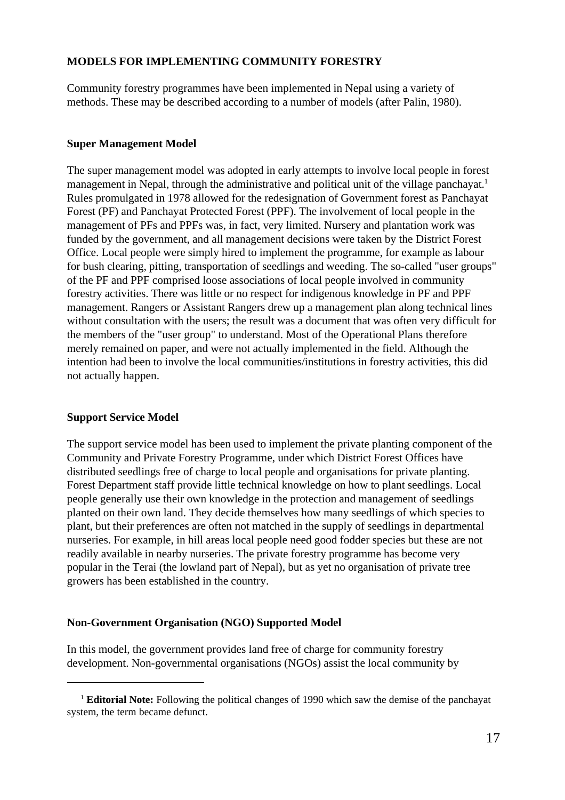## **MODELS FOR IMPLEMENTING COMMUNITY FORESTRY**

Community forestry programmes have been implemented in Nepal using a variety of methods. These may be described according to a number of models (after Palin, 1980).

## **Super Management Model**

The super management model was adopted in early attempts to involve local people in forest management in Nepal, through the administrative and political unit of the village panchayat.<sup>1</sup> Rules promulgated in 1978 allowed for the redesignation of Government forest as Panchayat Forest (PF) and Panchayat Protected Forest (PPF). The involvement of local people in the management of PFs and PPFs was, in fact, very limited. Nursery and plantation work was funded by the government, and all management decisions were taken by the District Forest Office. Local people were simply hired to implement the programme, for example as labour for bush clearing, pitting, transportation of seedlings and weeding. The so-called "user groups" of the PF and PPF comprised loose associations of local people involved in community forestry activities. There was little or no respect for indigenous knowledge in PF and PPF management. Rangers or Assistant Rangers drew up a management plan along technical lines without consultation with the users; the result was a document that was often very difficult for the members of the "user group" to understand. Most of the Operational Plans therefore merely remained on paper, and were not actually implemented in the field. Although the intention had been to involve the local communities/institutions in forestry activities, this did not actually happen.

## **Support Service Model**

The support service model has been used to implement the private planting component of the Community and Private Forestry Programme, under which District Forest Offices have distributed seedlings free of charge to local people and organisations for private planting. Forest Department staff provide little technical knowledge on how to plant seedlings. Local people generally use their own knowledge in the protection and management of seedlings planted on their own land. They decide themselves how many seedlings of which species to plant, but their preferences are often not matched in the supply of seedlings in departmental nurseries. For example, in hill areas local people need good fodder species but these are not readily available in nearby nurseries. The private forestry programme has become very popular in the Terai (the lowland part of Nepal), but as yet no organisation of private tree growers has been established in the country.

## **Non-Government Organisation (NGO) Supported Model**

In this model, the government provides land free of charge for community forestry development. Non-governmental organisations (NGOs) assist the local community by

<sup>&</sup>lt;sup>1</sup> **Editorial Note:** Following the political changes of 1990 which saw the demise of the panchayat system, the term became defunct.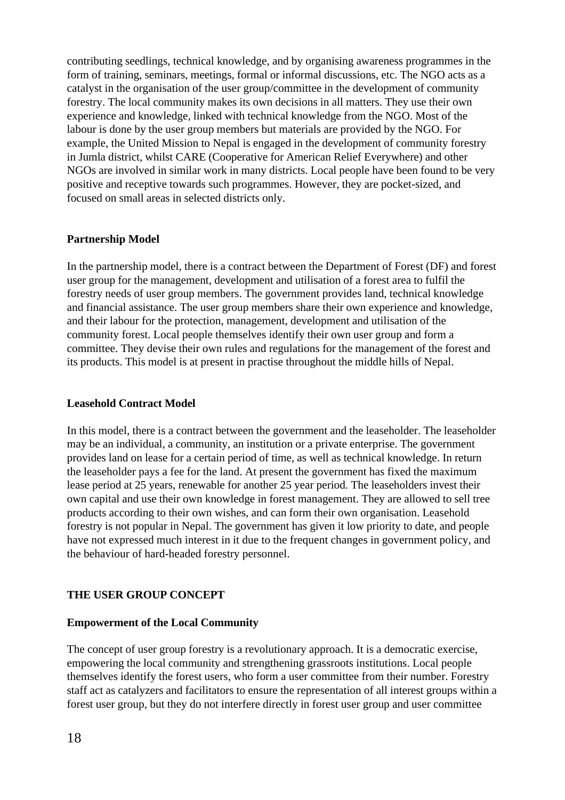contributing seedlings, technical knowledge, and by organising awareness programmes in the form of training, seminars, meetings, formal or informal discussions, etc. The NGO acts as a catalyst in the organisation of the user group/committee in the development of community forestry. The local community makes its own decisions in all matters. They use their own experience and knowledge, linked with technical knowledge from the NGO. Most of the labour is done by the user group members but materials are provided by the NGO. For example, the United Mission to Nepal is engaged in the development of community forestry in Jumla district, whilst CARE (Cooperative for American Relief Everywhere) and other NGOs are involved in similar work in many districts. Local people have been found to be very positive and receptive towards such programmes. However, they are pocket-sized, and focused on small areas in selected districts only.

#### **Partnership Model**

In the partnership model, there is a contract between the Department of Forest (DF) and forest user group for the management, development and utilisation of a forest area to fulfil the forestry needs of user group members. The government provides land, technical knowledge and financial assistance. The user group members share their own experience and knowledge, and their labour for the protection, management, development and utilisation of the community forest. Local people themselves identify their own user group and form a committee. They devise their own rules and regulations for the management of the forest and its products. This model is at present in practise throughout the middle hills of Nepal.

#### **Leasehold Contract Model**

In this model, there is a contract between the government and the leaseholder. The leaseholder may be an individual, a community, an institution or a private enterprise. The government provides land on lease for a certain period of time, as well as technical knowledge. In return the leaseholder pays a fee for the land. At present the government has fixed the maximum lease period at 25 years, renewable for another 25 year period. The leaseholders invest their own capital and use their own knowledge in forest management. They are allowed to sell tree products according to their own wishes, and can form their own organisation. Leasehold forestry is not popular in Nepal. The government has given it low priority to date, and people have not expressed much interest in it due to the frequent changes in government policy, and the behaviour of hard-headed forestry personnel.

## **THE USER GROUP CONCEPT**

## **Empowerment of the Local Community**

The concept of user group forestry is a revolutionary approach. It is a democratic exercise, empowering the local community and strengthening grassroots institutions. Local people themselves identify the forest users, who form a user committee from their number. Forestry staff act as catalyzers and facilitators to ensure the representation of all interest groups within a forest user group, but they do not interfere directly in forest user group and user committee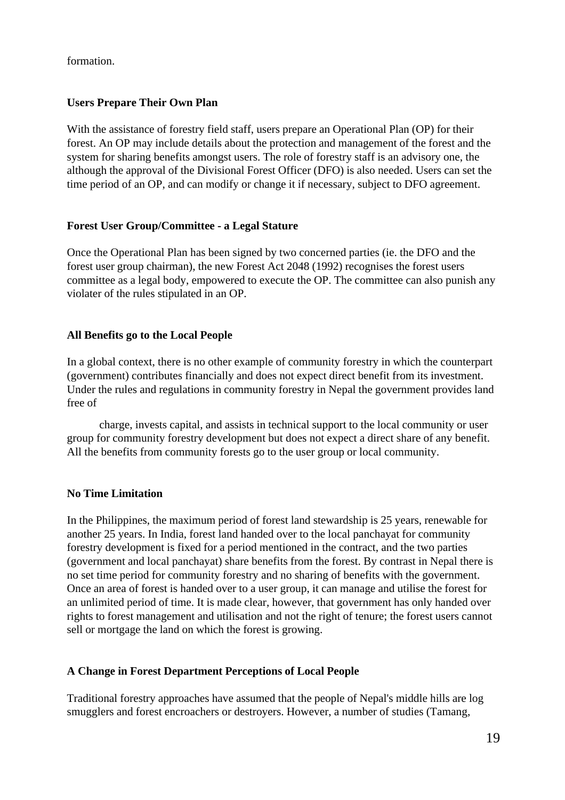formation.

# **Users Prepare Their Own Plan**

With the assistance of forestry field staff, users prepare an Operational Plan (OP) for their forest. An OP may include details about the protection and management of the forest and the system for sharing benefits amongst users. The role of forestry staff is an advisory one, the although the approval of the Divisional Forest Officer (DFO) is also needed. Users can set the time period of an OP, and can modify or change it if necessary, subject to DFO agreement.

# **Forest User Group/Committee - a Legal Stature**

Once the Operational Plan has been signed by two concerned parties (ie. the DFO and the forest user group chairman), the new Forest Act 2048 (1992) recognises the forest users committee as a legal body, empowered to execute the OP. The committee can also punish any violater of the rules stipulated in an OP.

# **All Benefits go to the Local People**

In a global context, there is no other example of community forestry in which the counterpart (government) contributes financially and does not expect direct benefit from its investment. Under the rules and regulations in community forestry in Nepal the government provides land free of

charge, invests capital, and assists in technical support to the local community or user group for community forestry development but does not expect a direct share of any benefit. All the benefits from community forests go to the user group or local community.

## **No Time Limitation**

In the Philippines, the maximum period of forest land stewardship is 25 years, renewable for another 25 years. In India, forest land handed over to the local panchayat for community forestry development is fixed for a period mentioned in the contract, and the two parties (government and local panchayat) share benefits from the forest. By contrast in Nepal there is no set time period for community forestry and no sharing of benefits with the government. Once an area of forest is handed over to a user group, it can manage and utilise the forest for an unlimited period of time. It is made clear, however, that government has only handed over rights to forest management and utilisation and not the right of tenure; the forest users cannot sell or mortgage the land on which the forest is growing.

## **A Change in Forest Department Perceptions of Local People**

Traditional forestry approaches have assumed that the people of Nepal's middle hills are log smugglers and forest encroachers or destroyers. However, a number of studies (Tamang,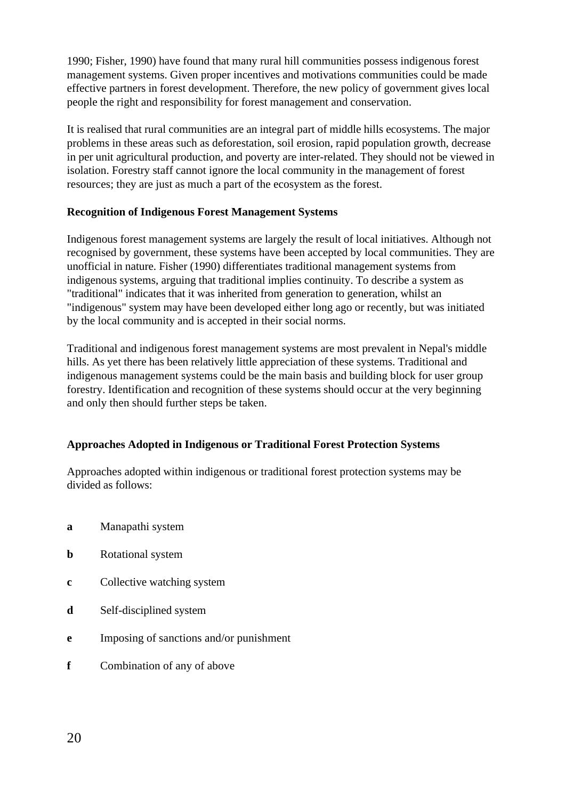1990; Fisher, 1990) have found that many rural hill communities possess indigenous forest management systems. Given proper incentives and motivations communities could be made effective partners in forest development. Therefore, the new policy of government gives local people the right and responsibility for forest management and conservation.

It is realised that rural communities are an integral part of middle hills ecosystems. The major problems in these areas such as deforestation, soil erosion, rapid population growth, decrease in per unit agricultural production, and poverty are inter-related. They should not be viewed in isolation. Forestry staff cannot ignore the local community in the management of forest resources; they are just as much a part of the ecosystem as the forest.

## **Recognition of Indigenous Forest Management Systems**

Indigenous forest management systems are largely the result of local initiatives. Although not recognised by government, these systems have been accepted by local communities. They are unofficial in nature. Fisher (1990) differentiates traditional management systems from indigenous systems, arguing that traditional implies continuity. To describe a system as "traditional" indicates that it was inherited from generation to generation, whilst an "indigenous" system may have been developed either long ago or recently, but was initiated by the local community and is accepted in their social norms.

Traditional and indigenous forest management systems are most prevalent in Nepal's middle hills. As yet there has been relatively little appreciation of these systems. Traditional and indigenous management systems could be the main basis and building block for user group forestry. Identification and recognition of these systems should occur at the very beginning and only then should further steps be taken.

# **Approaches Adopted in Indigenous or Traditional Forest Protection Systems**

Approaches adopted within indigenous or traditional forest protection systems may be divided as follows:

- **a** Manapathi system
- **b** Rotational system
- **c** Collective watching system
- **d** Self-disciplined system
- **e** Imposing of sanctions and/or punishment
- **f** Combination of any of above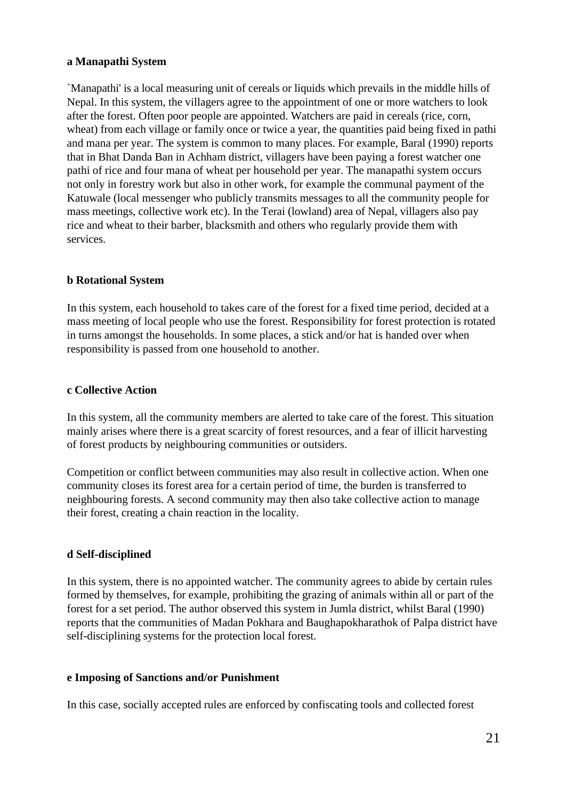## **a Manapathi System**

`Manapathi' is a local measuring unit of cereals or liquids which prevails in the middle hills of Nepal. In this system, the villagers agree to the appointment of one or more watchers to look after the forest. Often poor people are appointed. Watchers are paid in cereals (rice, corn, wheat) from each village or family once or twice a year, the quantities paid being fixed in pathi and mana per year. The system is common to many places. For example, Baral (1990) reports that in Bhat Danda Ban in Achham district, villagers have been paying a forest watcher one pathi of rice and four mana of wheat per household per year. The manapathi system occurs not only in forestry work but also in other work, for example the communal payment of the Katuwale (local messenger who publicly transmits messages to all the community people for mass meetings, collective work etc). In the Terai (lowland) area of Nepal, villagers also pay rice and wheat to their barber, blacksmith and others who regularly provide them with services.

#### **b Rotational System**

In this system, each household to takes care of the forest for a fixed time period, decided at a mass meeting of local people who use the forest. Responsibility for forest protection is rotated in turns amongst the households. In some places, a stick and/or hat is handed over when responsibility is passed from one household to another.

#### **c Collective Action**

In this system, all the community members are alerted to take care of the forest. This situation mainly arises where there is a great scarcity of forest resources, and a fear of illicit harvesting of forest products by neighbouring communities or outsiders.

Competition or conflict between communities may also result in collective action. When one community closes its forest area for a certain period of time, the burden is transferred to neighbouring forests. A second community may then also take collective action to manage their forest, creating a chain reaction in the locality.

#### **d Self-disciplined**

In this system, there is no appointed watcher. The community agrees to abide by certain rules formed by themselves, for example, prohibiting the grazing of animals within all or part of the forest for a set period. The author observed this system in Jumla district, whilst Baral (1990) reports that the communities of Madan Pokhara and Baughapokharathok of Palpa district have self-disciplining systems for the protection local forest.

#### **e Imposing of Sanctions and/or Punishment**

In this case, socially accepted rules are enforced by confiscating tools and collected forest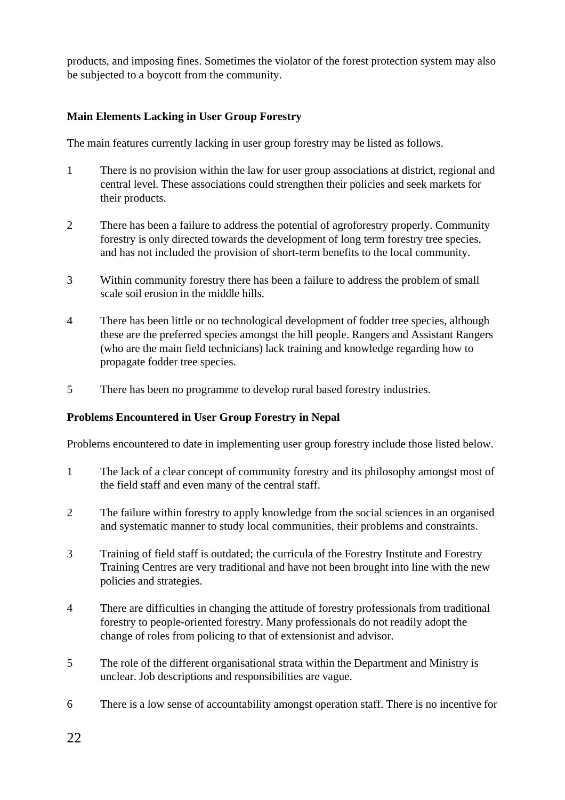products, and imposing fines. Sometimes the violator of the forest protection system may also be subjected to a boycott from the community.

# **Main Elements Lacking in User Group Forestry**

The main features currently lacking in user group forestry may be listed as follows.

- 1 There is no provision within the law for user group associations at district, regional and central level. These associations could strengthen their policies and seek markets for their products.
- 2 There has been a failure to address the potential of agroforestry properly. Community forestry is only directed towards the development of long term forestry tree species, and has not included the provision of short-term benefits to the local community.
- 3 Within community forestry there has been a failure to address the problem of small scale soil erosion in the middle hills.
- 4 There has been little or no technological development of fodder tree species, although these are the preferred species amongst the hill people. Rangers and Assistant Rangers (who are the main field technicians) lack training and knowledge regarding how to propagate fodder tree species.
- 5 There has been no programme to develop rural based forestry industries.

## **Problems Encountered in User Group Forestry in Nepal**

Problems encountered to date in implementing user group forestry include those listed below.

- 1 The lack of a clear concept of community forestry and its philosophy amongst most of the field staff and even many of the central staff.
- 2 The failure within forestry to apply knowledge from the social sciences in an organised and systematic manner to study local communities, their problems and constraints.
- 3 Training of field staff is outdated; the curricula of the Forestry Institute and Forestry Training Centres are very traditional and have not been brought into line with the new policies and strategies.
- 4 There are difficulties in changing the attitude of forestry professionals from traditional forestry to people-oriented forestry. Many professionals do not readily adopt the change of roles from policing to that of extensionist and advisor.
- 5 The role of the different organisational strata within the Department and Ministry is unclear. Job descriptions and responsibilities are vague.
- 6 There is a low sense of accountability amongst operation staff. There is no incentive for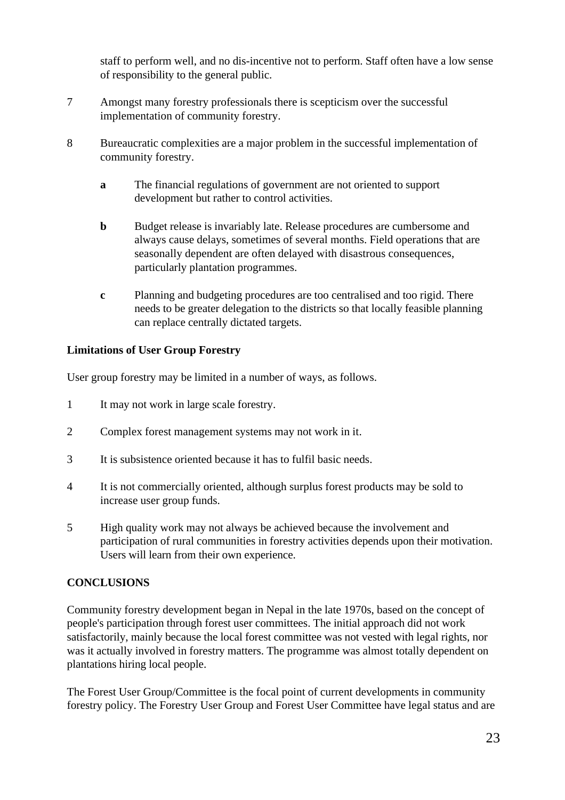staff to perform well, and no dis-incentive not to perform. Staff often have a low sense of responsibility to the general public.

- 7 Amongst many forestry professionals there is scepticism over the successful implementation of community forestry.
- 8 Bureaucratic complexities are a major problem in the successful implementation of community forestry.
	- **a** The financial regulations of government are not oriented to support development but rather to control activities.
	- **b** Budget release is invariably late. Release procedures are cumbersome and always cause delays, sometimes of several months. Field operations that are seasonally dependent are often delayed with disastrous consequences, particularly plantation programmes.
	- **c** Planning and budgeting procedures are too centralised and too rigid. There needs to be greater delegation to the districts so that locally feasible planning can replace centrally dictated targets.

# **Limitations of User Group Forestry**

User group forestry may be limited in a number of ways, as follows.

- 1 It may not work in large scale forestry.
- 2 Complex forest management systems may not work in it.
- 3 It is subsistence oriented because it has to fulfil basic needs.
- 4 It is not commercially oriented, although surplus forest products may be sold to increase user group funds.
- 5 High quality work may not always be achieved because the involvement and participation of rural communities in forestry activities depends upon their motivation. Users will learn from their own experience.

## **CONCLUSIONS**

Community forestry development began in Nepal in the late 1970s, based on the concept of people's participation through forest user committees. The initial approach did not work satisfactorily, mainly because the local forest committee was not vested with legal rights, nor was it actually involved in forestry matters. The programme was almost totally dependent on plantations hiring local people.

The Forest User Group/Committee is the focal point of current developments in community forestry policy. The Forestry User Group and Forest User Committee have legal status and are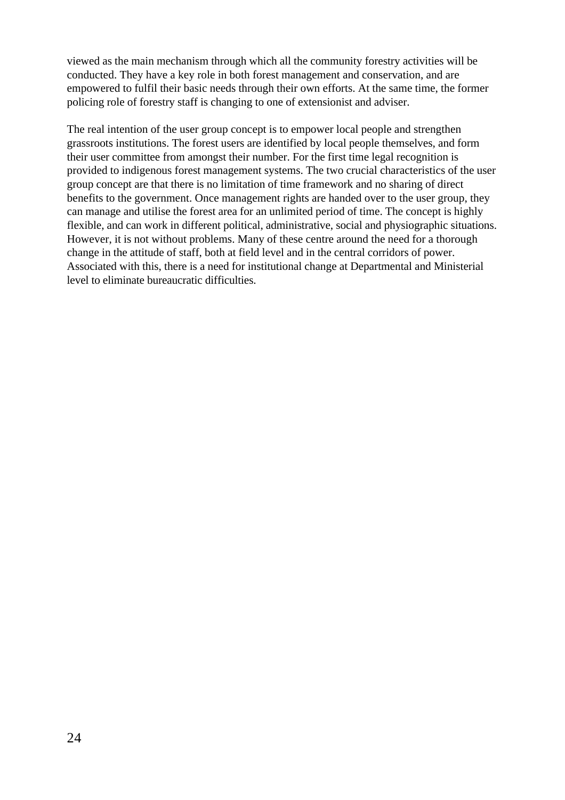viewed as the main mechanism through which all the community forestry activities will be conducted. They have a key role in both forest management and conservation, and are empowered to fulfil their basic needs through their own efforts. At the same time, the former policing role of forestry staff is changing to one of extensionist and adviser.

The real intention of the user group concept is to empower local people and strengthen grassroots institutions. The forest users are identified by local people themselves, and form their user committee from amongst their number. For the first time legal recognition is provided to indigenous forest management systems. The two crucial characteristics of the user group concept are that there is no limitation of time framework and no sharing of direct benefits to the government. Once management rights are handed over to the user group, they can manage and utilise the forest area for an unlimited period of time. The concept is highly flexible, and can work in different political, administrative, social and physiographic situations. However, it is not without problems. Many of these centre around the need for a thorough change in the attitude of staff, both at field level and in the central corridors of power. Associated with this, there is a need for institutional change at Departmental and Ministerial level to eliminate bureaucratic difficulties.